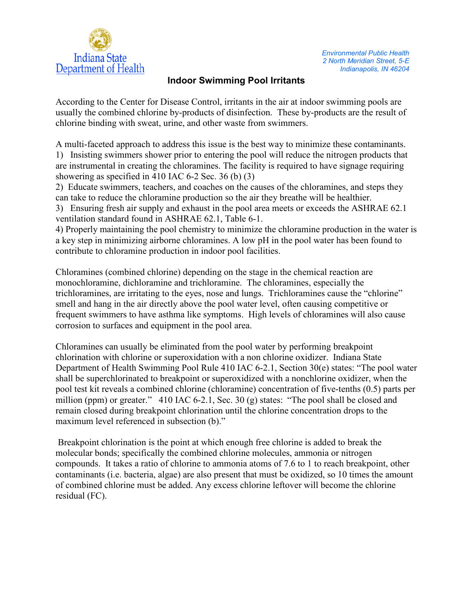

## **Indoor Swimming Pool Irritants**

According to the Center for Disease Control, irritants in the air at indoor swimming pools are usually the combined chlorine by-products of disinfection. These by-products are the result of chlorine binding with sweat, urine, and other waste from swimmers.

A multi-faceted approach to address this issue is the best way to minimize these contaminants. 1) Insisting swimmers shower prior to entering the pool will reduce the nitrogen products that are instrumental in creating the chloramines. The facility is required to have signage requiring showering as specified in 410 IAC 6-2 Sec. 36 (b) (3)

2) Educate swimmers, teachers, and coaches on the causes of the chloramines, and steps they can take to reduce the chloramine production so the air they breathe will be healthier.

3) Ensuring fresh air supply and exhaust in the pool area meets or exceeds the ASHRAE 62.1 ventilation standard found in ASHRAE 62.1, Table 6-1.

4) Properly maintaining the pool chemistry to minimize the chloramine production in the water is a key step in minimizing airborne chloramines. A low pH in the pool water has been found to contribute to chloramine production in indoor pool facilities.

Chloramines (combined chlorine) depending on the stage in the chemical reaction are monochloramine, dichloramine and trichloramine. The chloramines, especially the trichloramines, are irritating to the eyes, nose and lungs. Trichloramines cause the "chlorine" smell and hang in the air directly above the pool water level, often causing competitive or frequent swimmers to have asthma like symptoms. High levels of chloramines will also cause corrosion to surfaces and equipment in the pool area.

Chloramines can usually be eliminated from the pool water by performing breakpoint chlorination with chlorine or superoxidation with a non chlorine oxidizer. Indiana State Department of Health Swimming Pool Rule 410 IAC 6-2.1, Section 30(e) states: "The pool water shall be superchlorinated to breakpoint or superoxidized with a nonchlorine oxidizer, when the pool test kit reveals a combined chlorine (chloramine) concentration of five-tenths (0.5) parts per million (ppm) or greater." 410 IAC 6-2.1, Sec. 30 (g) states: "The pool shall be closed and remain closed during breakpoint chlorination until the chlorine concentration drops to the maximum level referenced in subsection (b)."

 Breakpoint chlorination is the point at which enough free chlorine is added to break the molecular bonds; specifically the combined chlorine molecules, ammonia or nitrogen compounds. It takes a ratio of chlorine to ammonia atoms of 7.6 to 1 to reach breakpoint, other contaminants (i.e. bacteria, algae) are also present that must be oxidized, so 10 times the amount of combined chlorine must be added. Any excess chlorine leftover will become the chlorine residual (FC).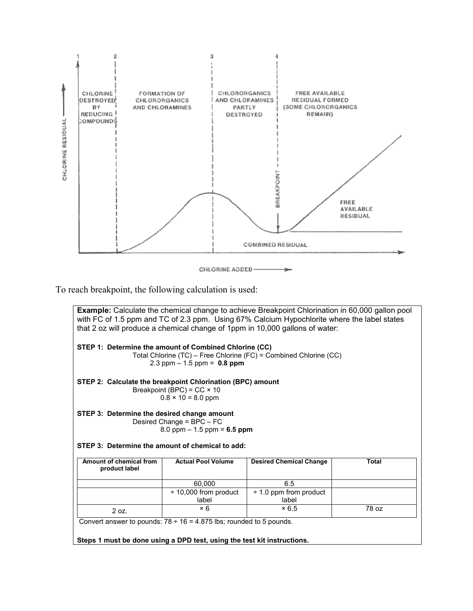

CHLORINE ADDED-

To reach breakpoint, the following calculation is used:

|                                                                                                                                                               |                                                                | <b>Example:</b> Calculate the chemical change to achieve Breakpoint Chlorination in 60,000 gallon pool<br>with FC of 1.5 ppm and TC of 2.3 ppm. Using 67% Calcium Hypochlorite where the label states<br>that 2 oz will produce a chemical change of 1ppm in 10,000 gallons of water: |              |  |
|---------------------------------------------------------------------------------------------------------------------------------------------------------------|----------------------------------------------------------------|---------------------------------------------------------------------------------------------------------------------------------------------------------------------------------------------------------------------------------------------------------------------------------------|--------------|--|
| STEP 1: Determine the amount of Combined Chlorine (CC)                                                                                                        | 2.3 ppm $-$ 1.5 ppm = 0.8 ppm                                  | Total Chlorine (TC) - Free Chlorine (FC) = Combined Chlorine (CC)                                                                                                                                                                                                                     |              |  |
| STEP 2: Calculate the breakpoint Chlorination (BPC) amount                                                                                                    | Breakpoint (BPC) = $CC \times 10$<br>$0.8 \times 10 = 8.0$ ppm |                                                                                                                                                                                                                                                                                       |              |  |
| STEP 3: Determine the desired change amount<br>Desired Change = BPC - FC<br>8.0 ppm $- 1.5$ ppm = 6.5 ppm<br>STEP 3: Determine the amount of chemical to add: |                                                                |                                                                                                                                                                                                                                                                                       |              |  |
| Amount of chemical from                                                                                                                                       | <b>Actual Pool Volume</b>                                      | <b>Desired Chemical Change</b>                                                                                                                                                                                                                                                        | <b>Total</b> |  |
| product label                                                                                                                                                 |                                                                |                                                                                                                                                                                                                                                                                       |              |  |
|                                                                                                                                                               | 60,000                                                         | 6.5                                                                                                                                                                                                                                                                                   |              |  |
|                                                                                                                                                               | $\div$ 10,000 from product                                     | $\div$ 1.0 ppm from product                                                                                                                                                                                                                                                           |              |  |
|                                                                                                                                                               | label                                                          | label                                                                                                                                                                                                                                                                                 |              |  |
| 2 oz.                                                                                                                                                         | $\times 6$                                                     | ×6.5                                                                                                                                                                                                                                                                                  | 78 oz        |  |
| Convert answer to pounds: $78 \div 16 = 4.875$ lbs; rounded to 5 pounds.                                                                                      |                                                                |                                                                                                                                                                                                                                                                                       |              |  |
| Steps 1 must be done using a DPD test, using the test kit instructions.                                                                                       |                                                                |                                                                                                                                                                                                                                                                                       |              |  |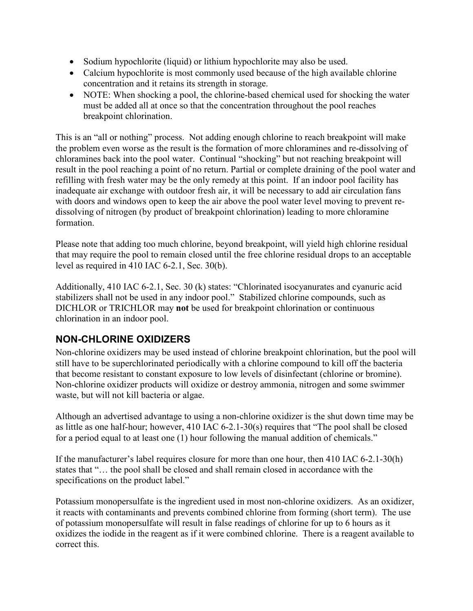- Sodium hypochlorite (liquid) or lithium hypochlorite may also be used.
- Calcium hypochlorite is most commonly used because of the high available chlorine concentration and it retains its strength in storage.
- NOTE: When shocking a pool, the chlorine-based chemical used for shocking the water must be added all at once so that the concentration throughout the pool reaches breakpoint chlorination.

This is an "all or nothing" process. Not adding enough chlorine to reach breakpoint will make the problem even worse as the result is the formation of more chloramines and re-dissolving of chloramines back into the pool water. Continual "shocking" but not reaching breakpoint will result in the pool reaching a point of no return. Partial or complete draining of the pool water and refilling with fresh water may be the only remedy at this point. If an indoor pool facility has inadequate air exchange with outdoor fresh air, it will be necessary to add air circulation fans with doors and windows open to keep the air above the pool water level moving to prevent redissolving of nitrogen (by product of breakpoint chlorination) leading to more chloramine formation.

Please note that adding too much chlorine, beyond breakpoint, will yield high chlorine residual that may require the pool to remain closed until the free chlorine residual drops to an acceptable level as required in 410 IAC 6-2.1, Sec. 30(b).

Additionally, 410 IAC 6-2.1, Sec. 30 (k) states: "Chlorinated isocyanurates and cyanuric acid stabilizers shall not be used in any indoor pool." Stabilized chlorine compounds, such as DICHLOR or TRICHLOR may **not** be used for breakpoint chlorination or continuous chlorination in an indoor pool.

## **NON-CHLORINE OXIDIZERS**

Non-chlorine oxidizers may be used instead of chlorine breakpoint chlorination, but the pool will still have to be superchlorinated periodically with a chlorine compound to kill off the bacteria that become resistant to constant exposure to low levels of disinfectant (chlorine or bromine). Non-chlorine oxidizer products will oxidize or destroy ammonia, nitrogen and some swimmer waste, but will not kill bacteria or algae.

Although an advertised advantage to using a non-chlorine oxidizer is the shut down time may be as little as one half-hour; however, 410 IAC 6-2.1-30(s) requires that "The pool shall be closed for a period equal to at least one (1) hour following the manual addition of chemicals."

If the manufacturer's label requires closure for more than one hour, then 410 IAC 6-2.1-30(h) states that "… the pool shall be closed and shall remain closed in accordance with the specifications on the product label."

Potassium monopersulfate is the ingredient used in most non-chlorine oxidizers. As an oxidizer, it reacts with contaminants and prevents combined chlorine from forming (short term). The use of potassium monopersulfate will result in false readings of chlorine for up to 6 hours as it oxidizes the iodide in the reagent as if it were combined chlorine. There is a reagent available to correct this.